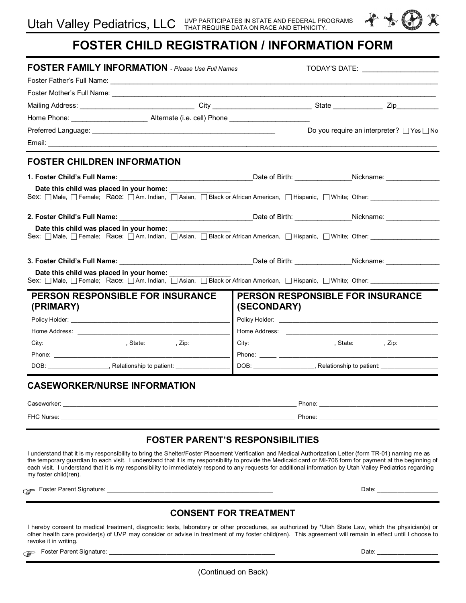

| <b>FOSTER FAMILY INFORMATION</b> - Please Use Full Names                                                                                                                                                                                                                                                                                            |                                         | TODAY'S DATE: _______________________                                                                                                                                                                                          |                                                                           |  |
|-----------------------------------------------------------------------------------------------------------------------------------------------------------------------------------------------------------------------------------------------------------------------------------------------------------------------------------------------------|-----------------------------------------|--------------------------------------------------------------------------------------------------------------------------------------------------------------------------------------------------------------------------------|---------------------------------------------------------------------------|--|
|                                                                                                                                                                                                                                                                                                                                                     |                                         |                                                                                                                                                                                                                                |                                                                           |  |
|                                                                                                                                                                                                                                                                                                                                                     |                                         |                                                                                                                                                                                                                                |                                                                           |  |
|                                                                                                                                                                                                                                                                                                                                                     |                                         |                                                                                                                                                                                                                                |                                                                           |  |
|                                                                                                                                                                                                                                                                                                                                                     |                                         |                                                                                                                                                                                                                                |                                                                           |  |
|                                                                                                                                                                                                                                                                                                                                                     |                                         |                                                                                                                                                                                                                                | Do you require an interpreter? $\Box$ Yes $\Box$ No                       |  |
|                                                                                                                                                                                                                                                                                                                                                     |                                         |                                                                                                                                                                                                                                |                                                                           |  |
| <b>FOSTER CHILDREN INFORMATION</b>                                                                                                                                                                                                                                                                                                                  |                                         |                                                                                                                                                                                                                                |                                                                           |  |
|                                                                                                                                                                                                                                                                                                                                                     |                                         |                                                                                                                                                                                                                                |                                                                           |  |
| Date this child was placed in your home:                                                                                                                                                                                                                                                                                                            |                                         |                                                                                                                                                                                                                                |                                                                           |  |
|                                                                                                                                                                                                                                                                                                                                                     |                                         |                                                                                                                                                                                                                                |                                                                           |  |
| Date this child was placed in your home:                                                                                                                                                                                                                                                                                                            |                                         |                                                                                                                                                                                                                                |                                                                           |  |
| Sex:    ∏ Male,   ∏ Female;    Race:    ∏ Am. Indian,    ∏ Asian,    ∏ Black or African American,    ∏ Hispanic,    ∏ White;  Other: _________________                                                                                                                                                                                              |                                         |                                                                                                                                                                                                                                |                                                                           |  |
|                                                                                                                                                                                                                                                                                                                                                     |                                         |                                                                                                                                                                                                                                |                                                                           |  |
| 3. Foster Child's Full Name: Note of Birth: Name: Nickname: Nickname: Nickname: Nickname: Nickname: Nickname: Nickname: Nickname: Nickname: Nickname: Nickname: Nickname: Nickname: Nickname: Nickname: Nickname: Nickname: Ni                                                                                                                      |                                         |                                                                                                                                                                                                                                |                                                                           |  |
| Date this child was placed in your home:                                                                                                                                                                                                                                                                                                            |                                         |                                                                                                                                                                                                                                |                                                                           |  |
| Sex: □ Male, □ Female; Race: □ Am. Indian, □ Asian, □ Black or African American, □ Hispanic, □ White; Other: ________                                                                                                                                                                                                                               |                                         |                                                                                                                                                                                                                                |                                                                           |  |
| PERSON RESPONSIBLE FOR INSURANCE<br>(PRIMARY)                                                                                                                                                                                                                                                                                                       | (SECONDARY)                             | <b>PERSON RESPONSIBLE FOR INSURANCE</b>                                                                                                                                                                                        |                                                                           |  |
|                                                                                                                                                                                                                                                                                                                                                     |                                         |                                                                                                                                                                                                                                |                                                                           |  |
| Home Address: The Contract of the Contract of the Contract of the Contract of the Contract of the Contract of the Contract of the Contract of the Contract of the Contract of the Contract of the Contract of the Contract of                                                                                                                       |                                         |                                                                                                                                                                                                                                |                                                                           |  |
|                                                                                                                                                                                                                                                                                                                                                     |                                         |                                                                                                                                                                                                                                |                                                                           |  |
|                                                                                                                                                                                                                                                                                                                                                     |                                         |                                                                                                                                                                                                                                |                                                                           |  |
| DOB: ____________________, Relationship to patient: ___________________                                                                                                                                                                                                                                                                             |                                         |                                                                                                                                                                                                                                | DOB: _____________________, Relationship to patient: ____________________ |  |
| <b>CASEWORKER/NURSE INFORMATION</b>                                                                                                                                                                                                                                                                                                                 |                                         |                                                                                                                                                                                                                                |                                                                           |  |
| Caseworker:<br><u> 1989 - Johann Barn, mars an deus an deus Amerikaansk kommunister (* 1958)</u>                                                                                                                                                                                                                                                    |                                         |                                                                                                                                                                                                                                |                                                                           |  |
| FHC Nurse: the contract of the contract of the contract of the contract of the contract of the contract of the contract of the contract of the contract of the contract of the contract of the contract of the contract of the                                                                                                                      |                                         | Phone: the contract of the contract of the contract of the contract of the contract of the contract of the contract of the contract of the contract of the contract of the contract of the contract of the contract of the con |                                                                           |  |
|                                                                                                                                                                                                                                                                                                                                                     | <b>FOSTER PARENT'S RESPONSIBILITIES</b> |                                                                                                                                                                                                                                |                                                                           |  |
| I understand that it is my responsibility to bring the Shelter/Foster Placement Verification and Medical Authorization Letter (form TR-01) naming me as                                                                                                                                                                                             |                                         |                                                                                                                                                                                                                                |                                                                           |  |
| the temporary guardian to each visit. I understand that it is my responsibility to provide the Medicaid card or MI-706 form for payment at the beginning of<br>each visit. I understand that it is my responsibility to immediately respond to any requests for additional information by Utah Valley Pediatrics regarding<br>my foster child(ren). |                                         |                                                                                                                                                                                                                                |                                                                           |  |
|                                                                                                                                                                                                                                                                                                                                                     |                                         |                                                                                                                                                                                                                                | Date: ________________                                                    |  |

## **CONSENT FOR TREATMENT**

I hereby consent to medical treatment, diagnostic tests, laboratory or other procedures, as authorized by \*Utah State Law, which the physician(s) or other health care provider(s) of UVP may consider or advise in treatment of my foster child(ren). This agreement will remain in effect until I choose to revoke it in writing.

Foster Parent Signature: \_\_\_\_\_\_\_\_\_\_\_\_\_\_\_\_\_\_\_\_\_\_\_\_\_\_\_\_\_\_\_\_\_\_\_\_\_\_\_\_\_\_\_\_\_\_\_\_\_ Date: \_\_\_\_\_\_\_\_\_\_\_\_\_\_\_\_\_\_ G